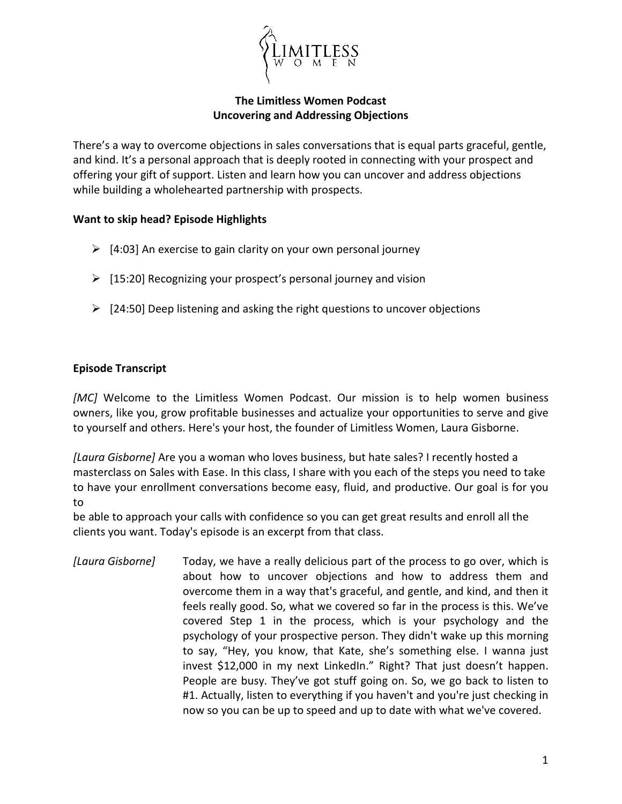

## **The Limitless Women Podcast Uncovering and Addressing Objections**

There's a way to overcome objections in sales conversations that is equal parts graceful, gentle, and kind. It's a personal approach that is deeply rooted in connecting with your prospect and offering your gift of support. Listen and learn how you can uncover and address objections while building a wholehearted partnership with prospects.

## **Want to skip head? Episode Highlights**

- $\geq$  [4:03] An exercise to gain clarity on your own personal journey
- $\triangleright$  [15:20] Recognizing your prospect's personal journey and vision
- $\geq$  [24:50] Deep listening and asking the right questions to uncover objections

## **Episode Transcript**

*[MC]* Welcome to the Limitless Women Podcast. Our mission is to help women business owners, like you, grow profitable businesses and actualize your opportunities to serve and give to yourself and others. Here's your host, the founder of Limitless Women, Laura Gisborne.

*[Laura Gisborne]* Are you a woman who loves business, but hate sales? I recently hosted a masterclass on Sales with Ease. In this class, I share with you each of the steps you need to take to have your enrollment conversations become easy, fluid, and productive. Our goal is for you to

be able to approach your calls with confidence so you can get great results and enroll all the clients you want. Today's episode is an excerpt from that class.

*[Laura Gisborne]* Today, we have a really delicious part of the process to go over, which is about how to uncover objections and how to address them and overcome them in a way that's graceful, and gentle, and kind, and then it feels really good. So, what we covered so far in the process is this. We've covered Step 1 in the process, which is your psychology and the psychology of your prospective person. They didn't wake up this morning to say, "Hey, you know, that Kate, she's something else. I wanna just invest \$12,000 in my next LinkedIn." Right? That just doesn't happen. People are busy. They've got stuff going on. So, we go back to listen to #1. Actually, listen to everything if you haven't and you're just checking in now so you can be up to speed and up to date with what we've covered.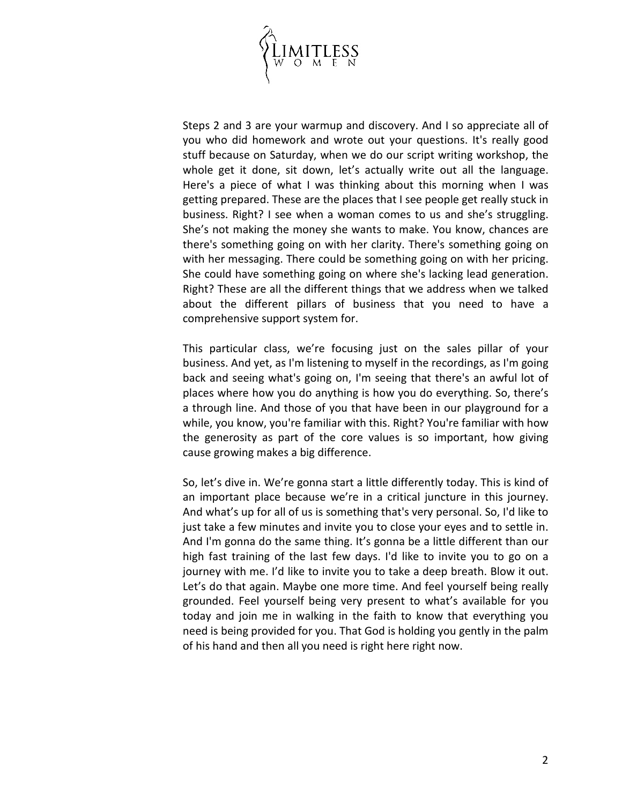

Steps 2 and 3 are your warmup and discovery. And I so appreciate all of you who did homework and wrote out your questions. It's really good stuff because on Saturday, when we do our script writing workshop, the whole get it done, sit down, let's actually write out all the language. Here's a piece of what I was thinking about this morning when I was getting prepared. These are the places that I see people get really stuck in business. Right? I see when a woman comes to us and she's struggling. She's not making the money she wants to make. You know, chances are there's something going on with her clarity. There's something going on with her messaging. There could be something going on with her pricing. She could have something going on where she's lacking lead generation. Right? These are all the different things that we address when we talked about the different pillars of business that you need to have a comprehensive support system for.

This particular class, we're focusing just on the sales pillar of your business. And yet, as I'm listening to myself in the recordings, as I'm going back and seeing what's going on, I'm seeing that there's an awful lot of places where how you do anything is how you do everything. So, there's a through line. And those of you that have been in our playground for a while, you know, you're familiar with this. Right? You're familiar with how the generosity as part of the core values is so important, how giving cause growing makes a big difference.

So, let's dive in. We're gonna start a little differently today. This is kind of an important place because we're in a critical juncture in this journey. And what's up for all of us is something that's very personal. So, I'd like to just take a few minutes and invite you to close your eyes and to settle in. And I'm gonna do the same thing. It's gonna be a little different than our high fast training of the last few days. I'd like to invite you to go on a journey with me. I'd like to invite you to take a deep breath. Blow it out. Let's do that again. Maybe one more time. And feel yourself being really grounded. Feel yourself being very present to what's available for you today and join me in walking in the faith to know that everything you need is being provided for you. That God is holding you gently in the palm of his hand and then all you need is right here right now.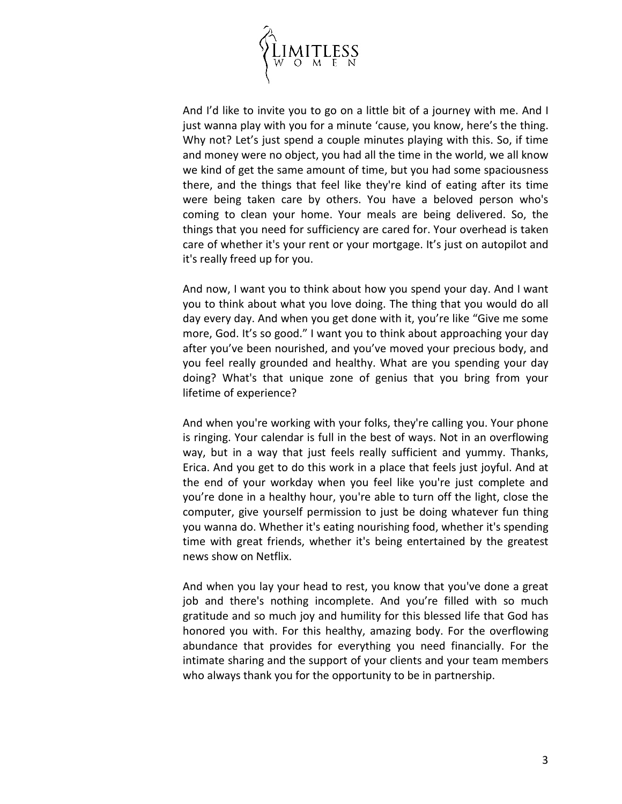

And I'd like to invite you to go on a little bit of a journey with me. And I just wanna play with you for a minute 'cause, you know, here's the thing. Why not? Let's just spend a couple minutes playing with this. So, if time and money were no object, you had all the time in the world, we all know we kind of get the same amount of time, but you had some spaciousness there, and the things that feel like they're kind of eating after its time were being taken care by others. You have a beloved person who's coming to clean your home. Your meals are being delivered. So, the things that you need for sufficiency are cared for. Your overhead is taken care of whether it's your rent or your mortgage. It's just on autopilot and it's really freed up for you.

And now, I want you to think about how you spend your day. And I want you to think about what you love doing. The thing that you would do all day every day. And when you get done with it, you're like "Give me some more, God. It's so good." I want you to think about approaching your day after you've been nourished, and you've moved your precious body, and you feel really grounded and healthy. What are you spending your day doing? What's that unique zone of genius that you bring from your lifetime of experience?

And when you're working with your folks, they're calling you. Your phone is ringing. Your calendar is full in the best of ways. Not in an overflowing way, but in a way that just feels really sufficient and yummy. Thanks, Erica. And you get to do this work in a place that feels just joyful. And at the end of your workday when you feel like you're just complete and you're done in a healthy hour, you're able to turn off the light, close the computer, give yourself permission to just be doing whatever fun thing you wanna do. Whether it's eating nourishing food, whether it's spending time with great friends, whether it's being entertained by the greatest news show on Netflix.

And when you lay your head to rest, you know that you've done a great job and there's nothing incomplete. And you're filled with so much gratitude and so much joy and humility for this blessed life that God has honored you with. For this healthy, amazing body. For the overflowing abundance that provides for everything you need financially. For the intimate sharing and the support of your clients and your team members who always thank you for the opportunity to be in partnership.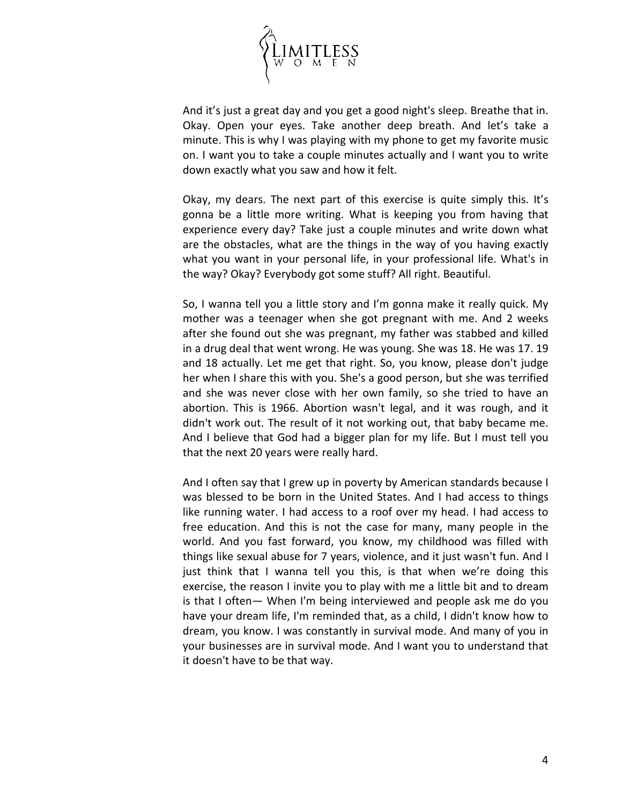

And it's just a great day and you get a good night's sleep. Breathe that in. Okay. Open your eyes. Take another deep breath. And let's take a minute. This is why I was playing with my phone to get my favorite music on. I want you to take a couple minutes actually and I want you to write down exactly what you saw and how it felt.

Okay, my dears. The next part of this exercise is quite simply this. It's gonna be a little more writing. What is keeping you from having that experience every day? Take just a couple minutes and write down what are the obstacles, what are the things in the way of you having exactly what you want in your personal life, in your professional life. What's in the way? Okay? Everybody got some stuff? All right. Beautiful.

So, I wanna tell you a little story and I'm gonna make it really quick. My mother was a teenager when she got pregnant with me. And 2 weeks after she found out she was pregnant, my father was stabbed and killed in a drug deal that went wrong. He was young. She was 18. He was 17. 19 and 18 actually. Let me get that right. So, you know, please don't judge her when I share this with you. She's a good person, but she was terrified and she was never close with her own family, so she tried to have an abortion. This is 1966. Abortion wasn't legal, and it was rough, and it didn't work out. The result of it not working out, that baby became me. And I believe that God had a bigger plan for my life. But I must tell you that the next 20 years were really hard.

And I often say that I grew up in poverty by American standards because I was blessed to be born in the United States. And I had access to things like running water. I had access to a roof over my head. I had access to free education. And this is not the case for many, many people in the world. And you fast forward, you know, my childhood was filled with things like sexual abuse for 7 years, violence, and it just wasn't fun. And I just think that I wanna tell you this, is that when we're doing this exercise, the reason I invite you to play with me a little bit and to dream is that I often— When I'm being interviewed and people ask me do you have your dream life, I'm reminded that, as a child, I didn't know how to dream, you know. I was constantly in survival mode. And many of you in your businesses are in survival mode. And I want you to understand that it doesn't have to be that way.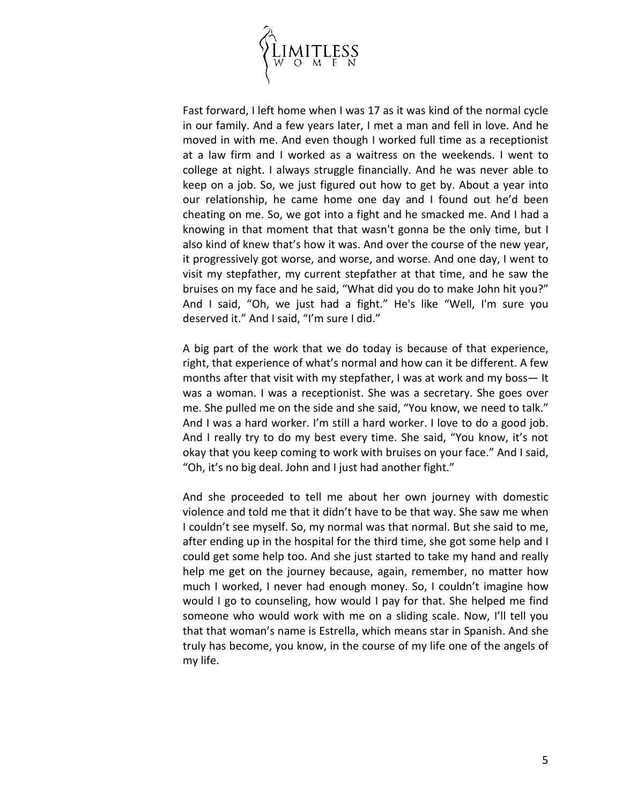

Fast forward, I left home when I was 17 as it was kind of the normal cycle in our family. And a few years later, I met a man and fell in love. And he moved in with me. And even though I worked full time as a receptionist at a law firm and I worked as a waitress on the weekends. I went to college at night. I always struggle financially. And he was never able to keep on a job. So, we just figured out how to get by. About a year into our relationship, he came home one day and I found out he'd been cheating on me. So, we got into a fight and he smacked me. And I had a knowing in that moment that that wasn't gonna be the only time, but I also kind of knew that's how it was. And over the course of the new year, it progressively got worse, and worse, and worse. And one day, I went to visit my stepfather, my current stepfather at that time, and he saw the bruises on my face and he said, "What did you do to make John hit you?" And I said, "Oh, we just had a fight." He's like "Well, I'm sure you deserved it." And I said, "I'm sure I did."

A big part of the work that we do today is because of that experience, right, that experience of what's normal and how can it be different. A few months after that visit with my stepfather, I was at work and my boss— It was a woman. I was a receptionist. She was a secretary. She goes over me. She pulled me on the side and she said, "You know, we need to talk." And I was a hard worker. I'm still a hard worker. I love to do a good job. And I really try to do my best every time. She said, "You know, it's not okay that you keep coming to work with bruises on your face." And I said, "Oh, it's no big deal. John and I just had another fight."

And she proceeded to tell me about her own journey with domestic violence and told me that it didn't have to be that way. She saw me when I couldn't see myself. So, my normal was that normal. But she said to me, after ending up in the hospital for the third time, she got some help and I could get some help too. And she just started to take my hand and really help me get on the journey because, again, remember, no matter how much I worked, I never had enough money. So, I couldn't imagine how would I go to counseling, how would I pay for that. She helped me find someone who would work with me on a sliding scale. Now, I'll tell you that that woman's name is Estrella, which means star in Spanish. And she truly has become, you know, in the course of my life one of the angels of my life.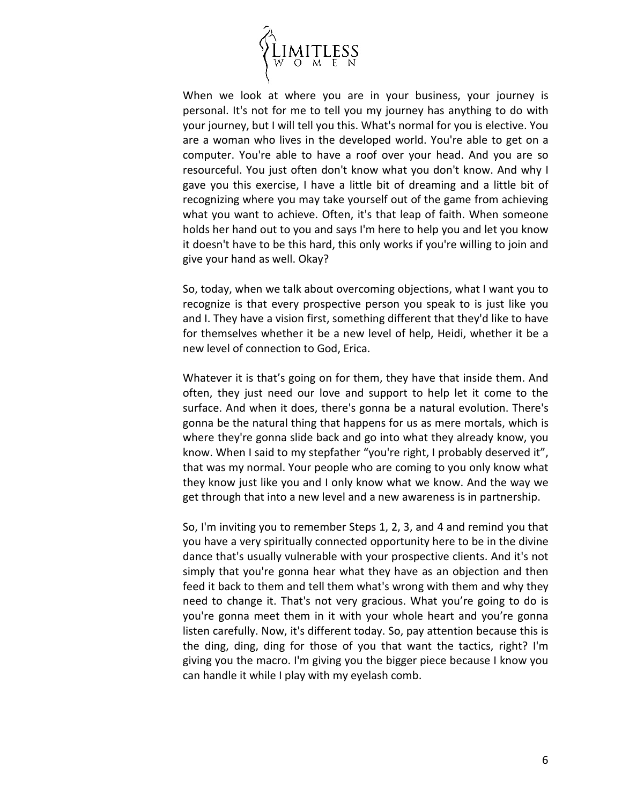

When we look at where you are in your business, your journey is personal. It's not for me to tell you my journey has anything to do with your journey, but I will tell you this. What's normal for you is elective. You are a woman who lives in the developed world. You're able to get on a computer. You're able to have a roof over your head. And you are so resourceful. You just often don't know what you don't know. And why I gave you this exercise, I have a little bit of dreaming and a little bit of recognizing where you may take yourself out of the game from achieving what you want to achieve. Often, it's that leap of faith. When someone holds her hand out to you and says I'm here to help you and let you know it doesn't have to be this hard, this only works if you're willing to join and give your hand as well. Okay?

So, today, when we talk about overcoming objections, what I want you to recognize is that every prospective person you speak to is just like you and I. They have a vision first, something different that they'd like to have for themselves whether it be a new level of help, Heidi, whether it be a new level of connection to God, Erica.

Whatever it is that's going on for them, they have that inside them. And often, they just need our love and support to help let it come to the surface. And when it does, there's gonna be a natural evolution. There's gonna be the natural thing that happens for us as mere mortals, which is where they're gonna slide back and go into what they already know, you know. When I said to my stepfather "you're right, I probably deserved it", that was my normal. Your people who are coming to you only know what they know just like you and I only know what we know. And the way we get through that into a new level and a new awareness is in partnership.

So, I'm inviting you to remember Steps 1, 2, 3, and 4 and remind you that you have a very spiritually connected opportunity here to be in the divine dance that's usually vulnerable with your prospective clients. And it's not simply that you're gonna hear what they have as an objection and then feed it back to them and tell them what's wrong with them and why they need to change it. That's not very gracious. What you're going to do is you're gonna meet them in it with your whole heart and you're gonna listen carefully. Now, it's different today. So, pay attention because this is the ding, ding, ding for those of you that want the tactics, right? I'm giving you the macro. I'm giving you the bigger piece because I know you can handle it while I play with my eyelash comb.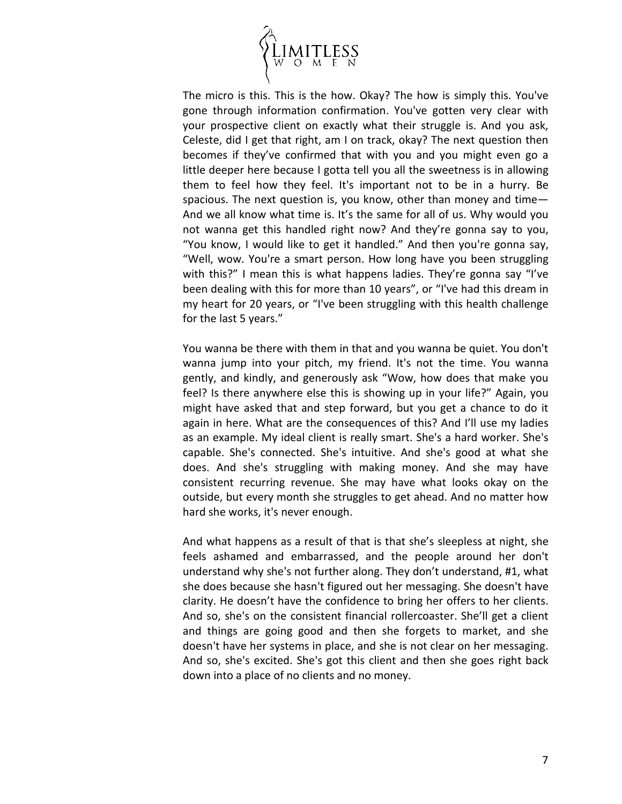

The micro is this. This is the how. Okay? The how is simply this. You've gone through information confirmation. You've gotten very clear with your prospective client on exactly what their struggle is. And you ask, Celeste, did I get that right, am I on track, okay? The next question then becomes if they've confirmed that with you and you might even go a little deeper here because I gotta tell you all the sweetness is in allowing them to feel how they feel. It's important not to be in a hurry. Be spacious. The next question is, you know, other than money and time— And we all know what time is. It's the same for all of us. Why would you not wanna get this handled right now? And they're gonna say to you, "You know, I would like to get it handled." And then you're gonna say, "Well, wow. You're a smart person. How long have you been struggling with this?" I mean this is what happens ladies. They're gonna say "I've been dealing with this for more than 10 years", or "I've had this dream in my heart for 20 years, or "I've been struggling with this health challenge for the last 5 years."

You wanna be there with them in that and you wanna be quiet. You don't wanna jump into your pitch, my friend. It's not the time. You wanna gently, and kindly, and generously ask "Wow, how does that make you feel? Is there anywhere else this is showing up in your life?" Again, you might have asked that and step forward, but you get a chance to do it again in here. What are the consequences of this? And I'll use my ladies as an example. My ideal client is really smart. She's a hard worker. She's capable. She's connected. She's intuitive. And she's good at what she does. And she's struggling with making money. And she may have consistent recurring revenue. She may have what looks okay on the outside, but every month she struggles to get ahead. And no matter how hard she works, it's never enough.

And what happens as a result of that is that she's sleepless at night, she feels ashamed and embarrassed, and the people around her don't understand why she's not further along. They don't understand, #1, what she does because she hasn't figured out her messaging. She doesn't have clarity. He doesn't have the confidence to bring her offers to her clients. And so, she's on the consistent financial rollercoaster. She'll get a client and things are going good and then she forgets to market, and she doesn't have her systems in place, and she is not clear on her messaging. And so, she's excited. She's got this client and then she goes right back down into a place of no clients and no money.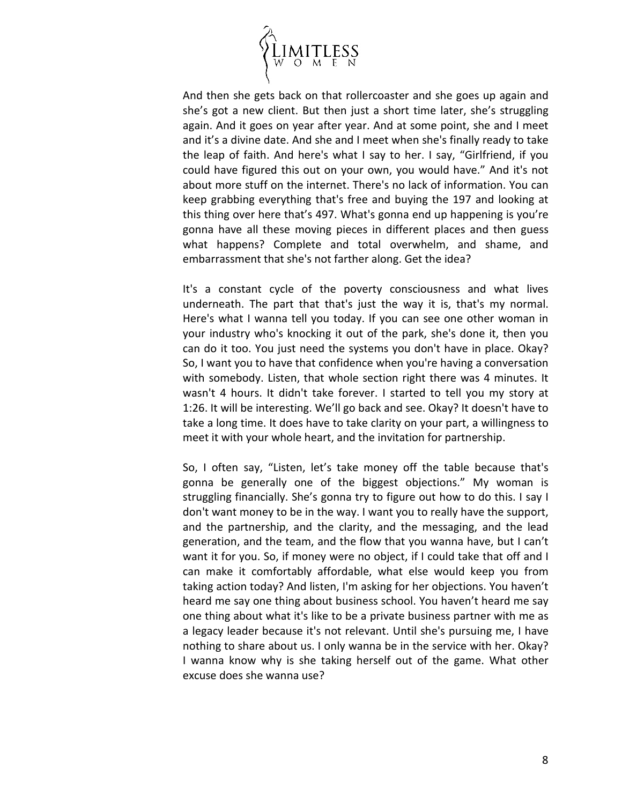

And then she gets back on that rollercoaster and she goes up again and she's got a new client. But then just a short time later, she's struggling again. And it goes on year after year. And at some point, she and I meet and it's a divine date. And she and I meet when she's finally ready to take the leap of faith. And here's what I say to her. I say, "Girlfriend, if you could have figured this out on your own, you would have." And it's not about more stuff on the internet. There's no lack of information. You can keep grabbing everything that's free and buying the 197 and looking at this thing over here that's 497. What's gonna end up happening is you're gonna have all these moving pieces in different places and then guess what happens? Complete and total overwhelm, and shame, and embarrassment that she's not farther along. Get the idea?

It's a constant cycle of the poverty consciousness and what lives underneath. The part that that's just the way it is, that's my normal. Here's what I wanna tell you today. If you can see one other woman in your industry who's knocking it out of the park, she's done it, then you can do it too. You just need the systems you don't have in place. Okay? So, I want you to have that confidence when you're having a conversation with somebody. Listen, that whole section right there was 4 minutes. It wasn't 4 hours. It didn't take forever. I started to tell you my story at 1:26. It will be interesting. We'll go back and see. Okay? It doesn't have to take a long time. It does have to take clarity on your part, a willingness to meet it with your whole heart, and the invitation for partnership.

So, I often say, "Listen, let's take money off the table because that's gonna be generally one of the biggest objections." My woman is struggling financially. She's gonna try to figure out how to do this. I say I don't want money to be in the way. I want you to really have the support, and the partnership, and the clarity, and the messaging, and the lead generation, and the team, and the flow that you wanna have, but I can't want it for you. So, if money were no object, if I could take that off and I can make it comfortably affordable, what else would keep you from taking action today? And listen, I'm asking for her objections. You haven't heard me say one thing about business school. You haven't heard me say one thing about what it's like to be a private business partner with me as a legacy leader because it's not relevant. Until she's pursuing me, I have nothing to share about us. I only wanna be in the service with her. Okay? I wanna know why is she taking herself out of the game. What other excuse does she wanna use?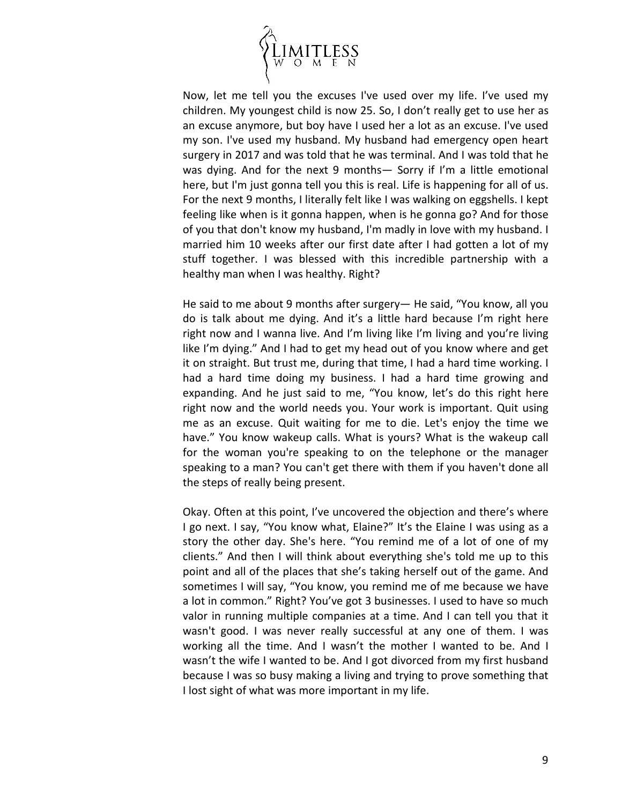

Now, let me tell you the excuses I've used over my life. I've used my children. My youngest child is now 25. So, I don't really get to use her as an excuse anymore, but boy have I used her a lot as an excuse. I've used my son. I've used my husband. My husband had emergency open heart surgery in 2017 and was told that he was terminal. And I was told that he was dying. And for the next 9 months— Sorry if I'm a little emotional here, but I'm just gonna tell you this is real. Life is happening for all of us. For the next 9 months, I literally felt like I was walking on eggshells. I kept feeling like when is it gonna happen, when is he gonna go? And for those of you that don't know my husband, I'm madly in love with my husband. I married him 10 weeks after our first date after I had gotten a lot of my stuff together. I was blessed with this incredible partnership with a healthy man when I was healthy. Right?

He said to me about 9 months after surgery— He said, "You know, all you do is talk about me dying. And it's a little hard because I'm right here right now and I wanna live. And I'm living like I'm living and you're living like I'm dying." And I had to get my head out of you know where and get it on straight. But trust me, during that time, I had a hard time working. I had a hard time doing my business. I had a hard time growing and expanding. And he just said to me, "You know, let's do this right here right now and the world needs you. Your work is important. Quit using me as an excuse. Quit waiting for me to die. Let's enjoy the time we have." You know wakeup calls. What is yours? What is the wakeup call for the woman you're speaking to on the telephone or the manager speaking to a man? You can't get there with them if you haven't done all the steps of really being present.

Okay. Often at this point, I've uncovered the objection and there's where I go next. I say, "You know what, Elaine?" It's the Elaine I was using as a story the other day. She's here. "You remind me of a lot of one of my clients." And then I will think about everything she's told me up to this point and all of the places that she's taking herself out of the game. And sometimes I will say, "You know, you remind me of me because we have a lot in common." Right? You've got 3 businesses. I used to have so much valor in running multiple companies at a time. And I can tell you that it wasn't good. I was never really successful at any one of them. I was working all the time. And I wasn't the mother I wanted to be. And I wasn't the wife I wanted to be. And I got divorced from my first husband because I was so busy making a living and trying to prove something that I lost sight of what was more important in my life.